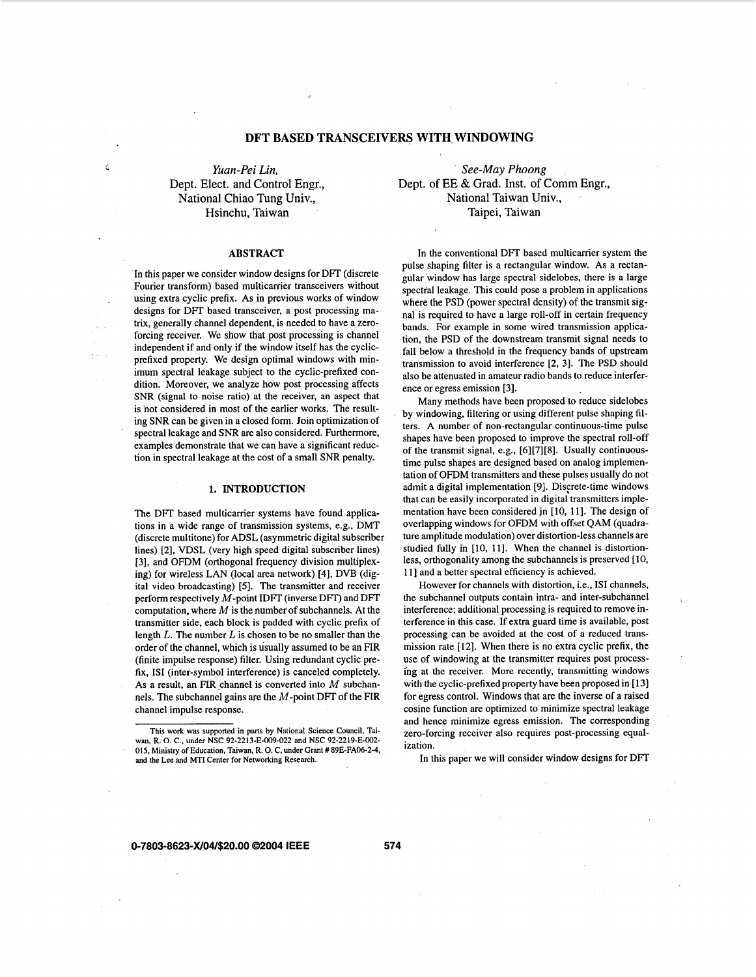# **DFT BASED TRANSCEIVERS WITH WINDOWING**

*<sup>c</sup>Yuan-Pei Lin,*  Dept. Elect. and Control Engr., National Chiao Tung Univ., Hsinchu, Taiwan

#### **ABSTRACT**

In this paper we consider window designs for DFT (discrete Fourier transform) based multicarrier transceivers without using extra cyclic prefix. As in previous works of window designs for DFT based transceiver, a post processing matrix, generally channel dependent, is needed to have a zeroforcing receiver. We show that post processing is channel independent if and only if the window itself has the cyclicprefixed property. We design optimal windows with minimum spectral leakage subject to the cyclic-prefixed condition. Moreover, we analyze how post processing affects SNR (signal to noise ratio) at the receiver, an aspect that is not considered in most of the earlier works. The resulting SNR can be given in a closed form. Join optimization of spectral leakage and SNR are also considered. Furthermore, examples demonstrate that we can have a significant reduction in spectral leakage at the cost of a small SNR penalty.

## **1. INTRODUCTION**

The DFT based multicarrier systems have found applications in a wide range of transmission systems, e.g., DMT (discrete multitone) for ADSL (asymmetric digital subscriber lines) **[2],** VDSL (very high speed digital subscriber lines) **[3],** and OFDM (orthogonal frequency division multiplexing) for wireless LAN (local area network) **[4],** DVB (digital video broadcasting) **[5].** The transmitter and receiver perform respectively M-point IDFT (inverse **DIT)** and DFT computation, where  $M$  is the number of subchannels. At the transmitter side, each block is padded with cyclic prefix of length  $L$ . The number  $L$  is chosen to be no smaller than the order of the channel, which is usually assumed to be an FIR (finite impulse response) filter. Using redundant cyclic prefix, **IS1** (inter-symbol interference) is canceled completely. As a result, an FIR channel is converted into  $M$  subchannels. The subchannel gains are the  $M$ -point DFT of the FIR channel impulse response.

*See-May Phoong*  Dept. of EE & Grad. Inst. of Comm Engr., National Taiwan Univ., Taipei, Taiwan

In the conventional DFT based multicarrier system the pulse shaping filter is a rectangular window. As a rectangular window has large spectral sidelobes, there is a large spectral leakage. This could pose a problem in applications where the PSD (power spectral density) of the transmit signal is required to have a large roll-off in certain frequency bands. For example in some wired transmission application, the PSD of the downstream transmit signal needs to fall below a threshold in the frequency bands of upstream transmission to avoid interference **[2, 31.** The **PSD** should also be attenuated in amateur radio bands to reduce interference or egress emission **[3].** 

Many methods have been proposed to reduce sidelobes by windowing, filtering or using different pulse shaping filters. A number of non-rectangular continuous-time pulse shapes have been proposed to improve the spectral roll-off of the transmit signal, e.g., **[6][7][8].** Usually continuoustime pulse shapes are designed based on analog implementation of OFDM transmitters and these pulses usually do not admit a digital implementation [9]. Discrete-time windows that can be easily incorporated in digital transmitters implementation have been considered jn **[lo, 111.** The design of overlapping windows for OFDM with offset QAM (quadrature amplitude modulation) over distortion-less channels are studied fully in **[lo, 111.** When the channel is distortionless, orthogonality among the subchannels is preserved [10, **111** and a better spectral efficiency is achieved.

However for channels with distortion, i.e., **IS1** channels, the subchannel outputs contain intra- and inter-subchannel interference; additional processing is required to remove interference in this case. If extra guard time is available, post processing can be avoided at the cost of a reduced transmission rate **[12].** When there is no extra cyclic prefix, the use of windowing at the transmitter requires post processing at the receiver. More recently, transmitting windows with the cyclic-prefixed property have been proposed in **[13]**  for egress control. Windows that are the inverse of a raised cosine function are optimized to minimize spectral leakage and hence minimize egress emission. The corresponding zero-forcing receiver also requires post-processing equalization.

l<br>Viz

In this paper we will consider window designs for DFT

## **0-7803-8623-W04/\$20.00 02004 IEEE 574**

**This work was supported in parts by National Science Council. Taiwan, R. 0. C., under NSC 92-2213-E-009-022 and NSC 92-2219-E-002- 015, Ministry of Education, Taiwan, R. 0. C, under Grant** # **89E-FA06-2-4, and the** Lee **and** MTI **Center for Networking Research.**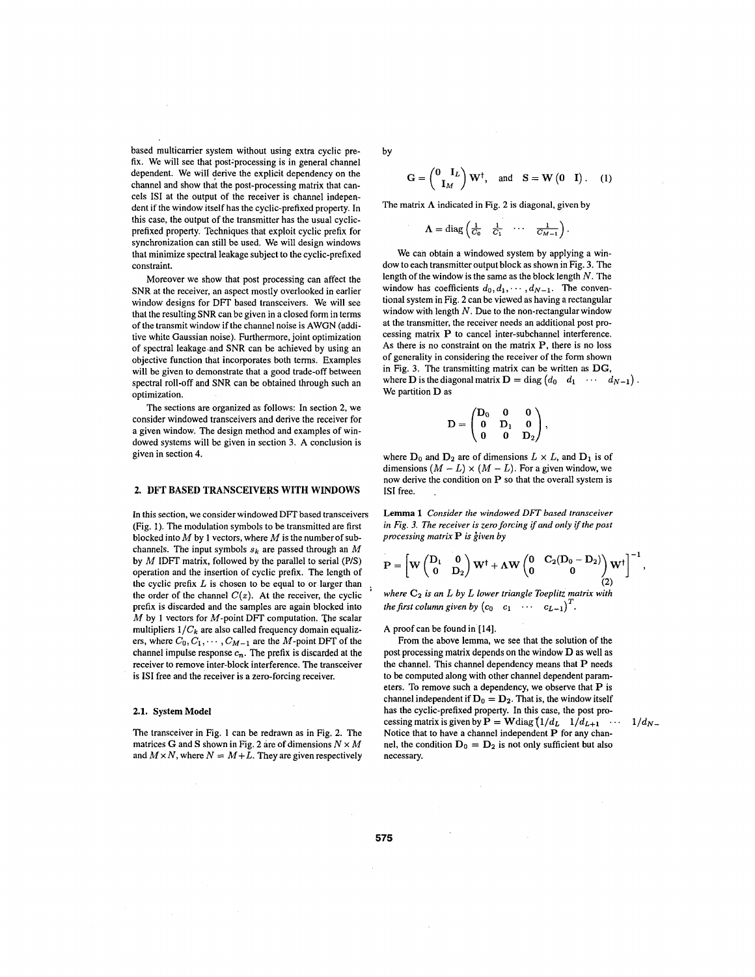based multicarrier system without using extra cyclic prefix. We will see that post-processing is in general channel dependent. We will derive the explicit dependency on the channel and show that the post-processing matrix that cancels **IS1** at the output of the receiver is channel independent if the window itself has the cyclic-prefixed property. In this case, the output of the transmitter has the usual cyclicprefixed property. Techniques that exploit cyclic prefix for synchronization can still be used. We will design windows that minimize spectral leakage subject to the cyclic-prefixed constraint.

Moreover we show that post processing can affect the **SNR** at the receiver, an aspect mostly overlooked in earlier window designs for DFT based transceivers. We will see that the resulting **SNR** can be given in a closed form in terms of the transmit window if the channel noise is AWGN (additive white Gaussian noise). Furthermore, joint optimization of spectral leakage-and SNR can be achieved by using an objective function that incorporates both terms. Examples will be given to demonstrate that a good trade-off between spectral roll-off and SNR can be obtained through such an optimization.

The sections are organized as follows: In section 2, we consider windowed transceivers and derive the receiver for a given window. The design method and examples of windowed systems will be given in section 3. A conclusion is given in section **4.** 

## **2. DFT BASED TRANSCEIVERS WITH WINDOWS**

In this section, we consider windowed **DFT** based transceivers (Fig. **1).** The modulation symbols to be transmitted are first blocked into M by **1** vectors, where M is the number of subchannels. The input symbols *Sk* are passed through an *M*  by M IDFT matrix, followed by the parallel to serial **(PIS)**  operation and the insertion of cyclic prefix. The length of the cyclic prefix *L* is chosen to be equal to or larger than the order of the channel  $C(z)$ . At the receiver, the cyclic prefix is discarded and the samples are again blocked into M by **1** vectors for M-point DFT computation. The scalar multipliers  $1/C_k$  are also called frequency domain equalizers, where  $C_0, C_1, \cdots, C_{M-1}$  are the M-point DFT of the channel impulse response  $c_n$ . The prefix is discarded at the receiver to remove inter-block interference. The transceiver is IS1 free and the receiver is a zero-forcing receiver.

#### **2.1. System Model**

The transceiver in Fig. **1** can be redrawn as in Fig. 2. The matrices **G** and **S** shown in Fig. 2 are of dimensions  $N \times M$ and  $M \times N$ , where  $N = M + L$ . They are given respectively by

$$
\mathbf{G} = \begin{pmatrix} \mathbf{0} & \mathbf{I}_L \\ \mathbf{I}_M \end{pmatrix} \mathbf{W}^\dagger, \text{ and } \mathbf{S} = \mathbf{W} \begin{pmatrix} \mathbf{0} & \mathbf{I} \end{pmatrix}. \quad (1)
$$
  
atrix  $\Lambda$  indicated in Fig. 2 is diagonal, given by  

$$
\Lambda = \text{diag} \begin{pmatrix} \frac{1}{C_0} & \frac{1}{C_1} & \cdots & \frac{1}{C_{M-1}} \end{pmatrix}.
$$

The matrix  $\Lambda$  indicated in Fig. 2 is diagonal, given by

$$
\Lambda = \text{diag}\left(\frac{1}{C_0} \quad \frac{1}{C_1} \quad \cdots \quad \frac{1}{C_{M-1}}\right).
$$

We can obtain a windowed system by applying a window to each transmitter output block as shown in Fig. 3. The length of the window is the same as the block length *N.* The window has coefficients  $d_0, d_1, \cdots, d_{N-1}$ . The conventional system in Fig. 2 can be viewed as having a rectangular window with length *N.* Due to the non-rectangular window at the transmitter, the receiver needs an additional post processing matrix P to cancel inter-subchannel interference. As there is no constraint on the matrix P, there is no loss of generality in considering the receiver of the form shown in Fig. 3. The transmitting matrix can be written as **DG,**  where **D** is the diagonal matrix  $D = diag (d_0 \ d_1 \ \cdots \ d_{N-1})$ . We partition **D** as

$$
\mathbf{D} = \begin{pmatrix} \mathbf{D}_0 & 0 & 0 \\ 0 & \mathbf{D}_1 & 0 \\ 0 & 0 & \mathbf{D}_2 \end{pmatrix},
$$

where  $D_0$  and  $D_2$  are of dimensions  $L \times L$ , and  $D_1$  is of dimensions  $(M - L) \times (M - L)$ . For a given window, we now derive the condition on P so that the overall system is **IS1** free. .

**Lemma 1** *Consider the windowed DFT based transceiver in Fig. 3. The receiver is zero forcing if and only if the post processing matrix* **P** *is given by* 

$$
\mathbf{P} = \left[W\begin{pmatrix} D_1 & 0 \\ 0 & D_2 \end{pmatrix} W^\dagger + \Lambda W \begin{pmatrix} 0 & C_2(D_0 - D_2) \\ 0 & 0 \end{pmatrix} W^\dagger \right]^{-1},
$$

**(2)** ' *where* **C2** *is an L by L lower triangle Toeplitz matrix with the first column given by*  $(c_0 \quad c_1 \quad \cdots \quad c_{L-1})^T$ .

**A** proof can be found in **[14].** 

From the above lemma, we see that the solution of the post processing matrix depends on the window D as well as the channel. This channel dependency means that P needs to be computed along with other channel dependent parameters. To remove such a dependency, we observe that P is channel independent if  $D_0 = D_2$ . That is, the window itself has the cyclic-prefixed property. In this case, the post processing matrix is given by  $P = W \text{diag} (1/d_L \quad 1/d_{L+1} \quad \cdots \quad 1/d_N$ Notice that to have a channel independent P for any channel, the condition  $D_0 = D_2$  is not only sufficient but also necessary.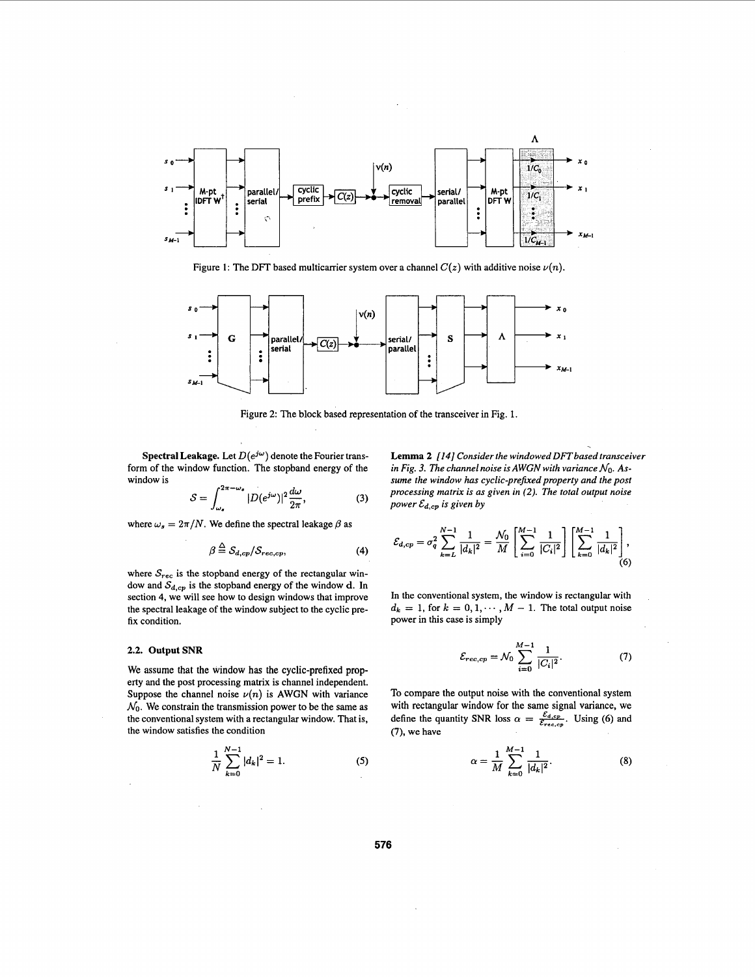

Figure 1: The DFT based multicarrier system over a channel  $C(z)$  with additive noise  $\nu(n)$ .



Figure 2: The block based representation of the transceiver in Fig. 1.

**Spectral Leakage.** Let  $D(e^{j\omega})$  denote the Fourier transform of the window function. The stopband energy of the window is

$$
S = \int_{\omega_s}^{2\pi - \omega_s} |D(e^{j\omega})|^2 \frac{d\omega}{2\pi},
$$
 (3)

where  $\omega_s = 2\pi/N$ . We define the spectral leakage  $\beta$  as

$$
\beta \stackrel{\triangle}{=} S_{d,cp}/S_{rec,cp},\tag{4}
$$

where  $S_{rec}$  is the stopband energy of the rectangular window and  $S_{d,cp}$  is the stopband energy of the window d. In section **4,** we will see how to design windows that improve the spectral leakage of the window subject to the cyclic prefix condition.

#### **2.2. Output SNR**

We assume that the window has the cyclic-prefixed property and the post processing matrix is channel independent. Suppose the channel noise  $\nu(n)$  is AWGN with variance  $\mathcal{N}_0$ . We constrain the transmission power to be the same as the conventional system with a rectangular window. That is, the window satisfies the condition

$$
\frac{1}{N} \sum_{k=0}^{N-1} |d_k|^2 = 1.
$$
 (5)

**Lemma 2** *[I41 Consider the windowed DFTbased transceiver in Fig. 3. The channel noise is AWGN with variance No. Assume the window has cyclic-prehed property and the post processing matrix is as given in (2). The total output noise power*  $\mathcal{E}_{d,cp}$  *is given by* 

$$
\mathcal{E}_{d,cp} = \sigma_q^2 \sum_{k=L}^{N-1} \frac{1}{|d_k|^2} = \frac{\mathcal{N}_0}{M} \left[ \sum_{i=0}^{M-1} \frac{1}{|C_i|^2} \right] \left[ \sum_{k=0}^{M-1} \frac{1}{|d_k|^2} \right],
$$
(6)

In the conventional system, the window is rectangular with  $d_k = 1$ , for  $k = 0, 1, \dots, M - 1$ . The total output noise power in this case is simply

$$
\mathcal{E}_{rec,cp} = \mathcal{N}_0 \sum_{i=0}^{M-1} \frac{1}{|C_i|^2}.
$$
 (7)

To compare the output noise with the conventional system with rectangular window for the same signal variance, we define the quantity SNR loss  $\alpha = \frac{\mathcal{E}_{d,ep}}{\mathcal{E}_{rec,ep}}$ . Using (6) and **(7),** we have

$$
\alpha = \frac{1}{M} \sum_{k=0}^{M-1} \frac{1}{|d_k|^2}.
$$
 (8)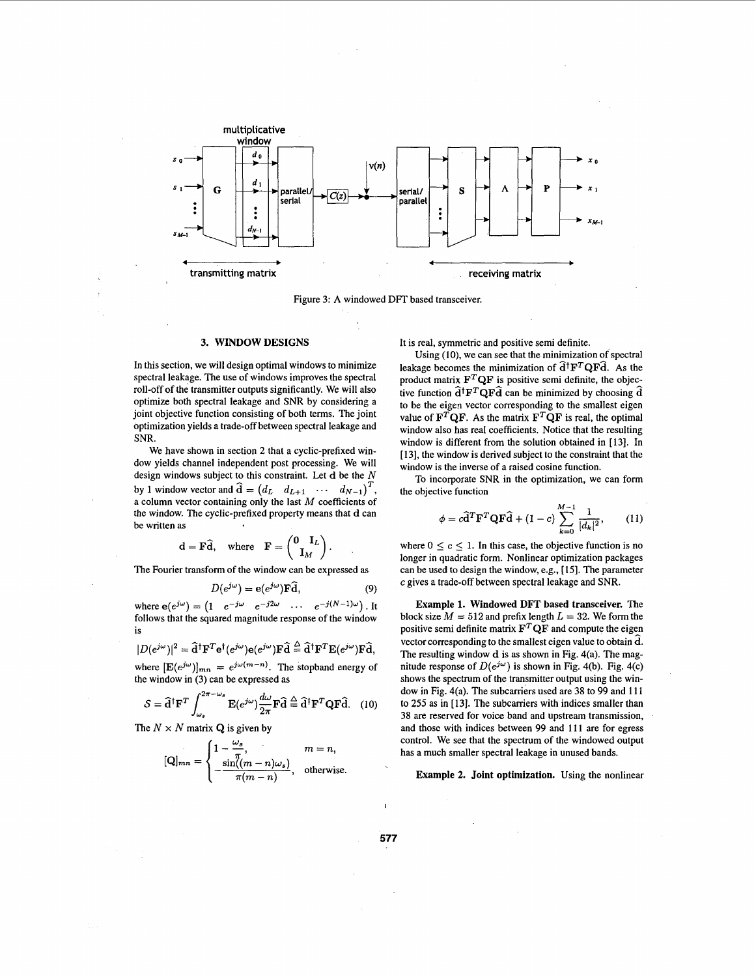<span id="page-3-0"></span>

Figure **3: A** windowed DFT based transceiver.

## **3. WINDOW DESIGNS**

In this section, we will design optimal windows to minimize spectral leakage. The use of windows improves the spectral roll-off of the transmitter outputs significantly. We will also optimize both spectral leakage and **SNR** by considering a joint objective function consisting of both terms. The joint optimization yields a trade-off between spectral leakage and **SNR.** 

We have shown in section 2 that a cyclic-prefixed window yields channel independent post processing. We will design windows subject to this constraint. Let **d** be the N by 1 window vector and  $\hat{\mathbf{d}} = (d_L \ d_{L+1} \ \cdots \ d_{N-1})^T$ , a column vector containing only the last *M* coefficients of the window. The cyclic-prefixed property means that **d** can be written as

$$
\mathbf{d} = \mathbf{F}\widehat{\mathbf{d}}, \quad \text{where} \quad \mathbf{F} = \begin{pmatrix} \mathbf{0} & \mathbf{I}_L \\ \mathbf{I}_M \end{pmatrix}.
$$

The Fourier transform of the window can be expressed as

$$
D(e^{j\omega}) = e(e^{j\omega})\mathbf{F}\widehat{\mathbf{d}},\tag{9}
$$

where  $e(e^{j\omega}) = \begin{pmatrix} 1 & e^{-j\omega} & e^{-j2\omega} & \cdots & e^{-j(N-1)\omega} \end{pmatrix}$ . It follows that the squared magnitude response of the window is

$$
|D(e^{j\omega})|^2 = \mathbf{\hat{d}}^{\dagger} \mathbf{F}^T \mathbf{e}^{\dagger} (e^{j\omega}) \mathbf{e} (e^{j\omega}) \mathbf{F} \mathbf{\hat{d}} \stackrel{\triangle}{=} \mathbf{\hat{d}}^{\dagger} \mathbf{F}^T \mathbf{E} (e^{j\omega}) \mathbf{F} \mathbf{\hat{d}},
$$

where  $[\mathbf{E}(e^{j\omega})]_{mn} = e^{j\omega(m-n)}$ . The stopband energy of

the window in (3) can be expressed as  
\n
$$
S = \hat{\mathbf{d}}^{\dagger} \mathbf{F}^T \int_{\omega_s}^{2\pi - \omega_s} \mathbf{E}(e^{j\omega}) \frac{d\omega}{2\pi} \mathbf{F} \hat{\mathbf{d}} \stackrel{\triangle}{=} \hat{\mathbf{d}}^{\dagger} \mathbf{F}^T \mathbf{Q} \mathbf{F} \hat{\mathbf{d}}.
$$
 (10)

The  $N \times N$  matrix **Q** is given by

$$
[\mathbf{Q}]_{mn} = \begin{cases} 1 - \frac{\omega_s}{\pi}, & m = n, \\ -\frac{\sin((m-n)\omega_s)}{\pi(m-n)}, & \text{otherwise.} \end{cases}
$$

It is real, symmetric and positive semi definite.

Using (10), we can see that the minimization of spectral leakage becomes the minimization of  $\hat{d}^\dagger F^T Q F \hat{d}$ . As the product matrix  $\mathbf{F}^T \mathbf{Q} \mathbf{F}$  is positive semi definite, the objective function  $\hat{\mathbf{d}}^{\dagger} \mathbf{F}^T \mathbf{Q} \mathbf{F} \hat{\mathbf{d}}$  can be minimized by choosing  $\hat{\mathbf{d}}$ to be the eigen vector corresponding to the smallest eigen value of  $\mathbf{F}^T\mathbf{Q}\mathbf{F}$ . As the matrix  $\mathbf{F}^T\mathbf{Q}\mathbf{F}$  is real, the optimal window also has real coefficients. Notice that the resulting window is different from the solution obtained in [ **131.** In **[13],** the window is derived subject to the constraint that the window is the inverse of a raised cosine function.

To incorporate **SNR** in the optimization, we can form the objective function

$$
\phi = c\widehat{\mathbf{d}}^T \mathbf{F}^T \mathbf{Q} \mathbf{F} \widehat{\mathbf{d}} + (1 - c) \sum_{k=0}^{M-1} \frac{1}{|d_k|^2},\qquad(11)
$$

where  $0 \le c \le 1$ . In this case, the objective function is no longer in quadratic form. Nonlinear optimization packages can be used to design the window, e.g., **[15].** The parameter **c** gives a trade-off between spectral leakage and **SNR.** 

**Example 1. Windowed DFT based transceiver.** The block size  $M = 512$  and prefix length  $L = 32$ . We form the positive semi definite matrix  $\mathbf{F}^T \mathbf{Q} \mathbf{F}$  and compute the eigen vector corresponding to the smallest eigen value to obtain **d.**  The resulting window **d** is as shown in Fig. 4(a). The magnitude response of  $D(e^{j\omega})$  is shown in Fig. 4(b). Fig. 4(c) shows the spectrum of the transmitter output using the window in Fig. 4(a). The subcarriers used are **38** to 99 and **11** 1 to **255** as in [ **131.** The subcarriers with indices smaller than **38** are reserved for voice band and upstream transmission, and those with indices between 99 and 11 **1** are for egress control. We see that the spectrum of the windowed output has a much smaller spectral leakage in unused bands.

**Example 2. Joint optimization.** Using the nonlinear

*577*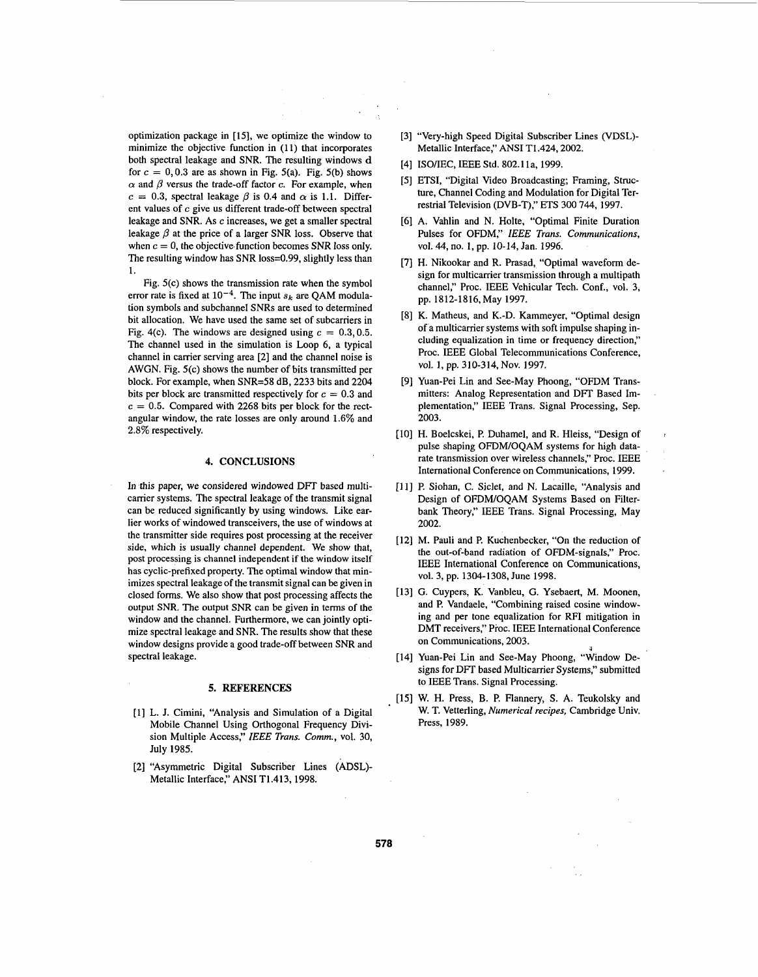optimization package in [15], we optimize the window to minimize the objective function in (11) that incorporates both spectral leakage and SNR. The resulting windows d for  $c = 0, 0.3$  are as shown in Fig. 5(a). Fig. 5(b) shows  $\alpha$  and  $\beta$  versus the trade-off factor c. For example, when  $c = 0.3$ , spectral leakage  $\beta$  is 0.4 and  $\alpha$  is 1.1. Different values of c give us different trade-off between spectral leakage and SNR. As c increases, we get a smaller spectral leakage  $\beta$  at the price of a larger SNR loss. Observe that when  $c = 0$ , the objective function becomes SNR loss only. The resulting window has SNR loss=O.99, slightly less than 1.

Fig. 5(c) shows the transmission rate when the symbol error rate is fixed at  $10^{-4}$ . The input  $s_k$  are QAM modulation symbols and subchannel SNRs are used to determined bit allocation. We have used the same set of subcarriers in Fig. 4(c). The windows are designed using  $c = 0.3, 0.5$ . The channel used in the simulation is Loop 6, a typical channel in carrier serving area [2] and the channel noise is AWGN. Fig. 5(c) shows the number of bits transmitted per block. For example, when SNR=58 dB, 2233 bits and 2204 bits per block are transmitted respectively for  $c = 0.3$  and  $c = 0.5$ . Compared with 2268 bits per block for the rectangular window, the rate losses are only around 1.6% and 2.8% respectively.

## **4. CONCLUSIONS**

In this paper, we considered windowed DFT based multicarrier systems. The spectral leakage of the transmit signal can be reduced significantly by using windows. Like earlier works of windowed transceivers, the use of windows at the transmitter side requires post processing at the receiver side, which is usually channel dependent. We show that, post processing is channel independent if the window itself has cyclic-prefixed property. The optimal window that minimizes spectral leakage of the transmit signal can be given in closed forms. We also show that post processing affects the output SNR. The output SNR can be given in terms of the window and the channel. Furthermore, we can jointly optimize spectral leakage and SNR. The results show that these window designs provide a good trade-off between SNR and spectral leakage.

## **5. REFERENCES**

- [l] L. J. Cimini, "Analysis and Simulation of a Digital Mobile Channel Using Orthogonal Frequency Division Multiple Access," IEEE *Trans. Comm.,* vol. 30, July 1985.
- [2] "Asymmetric Digital Subscriber Lines (ADSL)- Metallic Interface," ANSI T1.413,1998.
- [3] "Very-high Speed Digital Subscriber Lines (VDSL)- Metallic Interface," ANSI T1.424, 2002.
- [4] ISO/IEC, IEEE Std. 802.11a, 1999.
- [5] ETSI, "Digital Video Broadcasting; Framing, Structure, Channel Coding and Modulation for Digital Terrestrial Television (DVB-T)," ETS 300 744, 1997.
- [6] A. Vahlin and N. Holte, "Optimal Finite Duration Pulses for OFDM," IEEE *Trans. Communications,*  vol. *44,* no. *1,* pp. 10-14, Jan. 1996.
- [7] H. Nikookar and R. Prasad, "Optimal waveform design for multicarrier transmission through a multipath channel," Proc. IEEE Vehicular Tech. Conf., vol. 3, pp. 1812-1816,May 1997.
- [8] K. Matheus, and K.-D. Kammeyer, "Optimal design of a multicarrier systems with soft impulse shaping including equalization in time or frequency direction," Proc. IEEE Global Telecommunications Conference, vol. 1, pp. 310-314, Nov. 1997.
- [9] Yuan-Pei Lin and See-May Phoong, "OFDM Transmitters: Analog Representation and DFT Based Implementation," IEEE Trans. Signal Processing, Sep. 2003.
- [IO] H. Boelcskei, P. Duhamel, and R. Hleiss, "Design of pulse shaping OFDMIOQAM systems for high datarate transmission over wireless channels," Proc. IEEE International Conference on Communications, 1999.

:

- [ll] P. Siohan, C. Siclet, and N. Lacaille, "Analysis and Design of OFDWOQAM Systems Based on Filterbank Theory," IEEE Trans. Signal Processing, May 2002.
- [12] M. Pauli and P. Kuchenbecker, "On the reduction of the out-of-band radiation of OFDM-signals," Proc. IEEE International Conference on Communications, vol. 3, pp. 1304-1308, June 1998.
- [13] G. Cuypers, K. Vanbleu, G. Ysebaert, M. Moonen, and P. Vandaele, "Combining raised cosine windowing and per tone equalization for RFI mitigation in DMT receivers," Proc. IEEE International Conference on Communications, 2003.
- [14] Yuan-Pei Lin and See-May Phoong, "Window De-**3**  signs for DFT based Multicarrier Systems," submitted to IEEE Trans. Signal Processing.
- [15] W. H. Press, **B.** P. Flannery, **S.** A. Teukolsky and W. T. Vetterling, *Numerical recipes,* Cambridge Univ. Press, 1989.